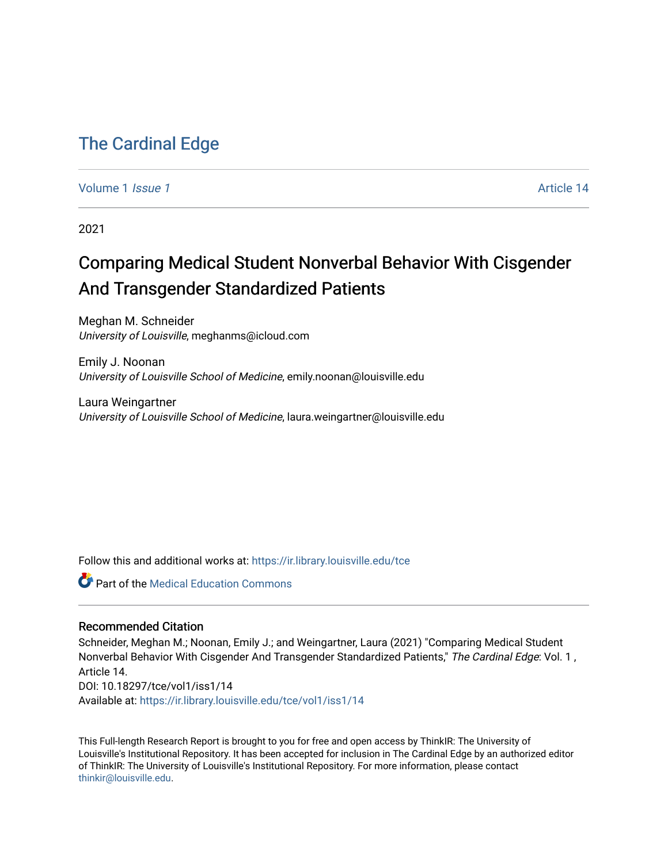## [The Cardinal Edge](https://ir.library.louisville.edu/tce)

[Volume 1](https://ir.library.louisville.edu/tce/vol1) *Issue 1* Article 14

2021

## Comparing Medical Student Nonverbal Behavior With Cisgender And Transgender Standardized Patients

Meghan M. Schneider University of Louisville, meghanms@icloud.com

Emily J. Noonan University of Louisville School of Medicine, emily.noonan@louisville.edu

Laura Weingartner University of Louisville School of Medicine, laura.weingartner@louisville.edu

Follow this and additional works at: [https://ir.library.louisville.edu/tce](https://ir.library.louisville.edu/tce?utm_source=ir.library.louisville.edu%2Ftce%2Fvol1%2Fiss1%2F14&utm_medium=PDF&utm_campaign=PDFCoverPages)

**C** Part of the Medical Education Commons

#### Recommended Citation

Schneider, Meghan M.; Noonan, Emily J.; and Weingartner, Laura (2021) "Comparing Medical Student Nonverbal Behavior With Cisgender And Transgender Standardized Patients," The Cardinal Edge: Vol. 1, Article 14. DOI: 10.18297/tce/vol1/iss1/14 Available at: [https://ir.library.louisville.edu/tce/vol1/iss1/14](https://ir.library.louisville.edu/tce/vol1/iss1/14?utm_source=ir.library.louisville.edu%2Ftce%2Fvol1%2Fiss1%2F14&utm_medium=PDF&utm_campaign=PDFCoverPages) 

This Full-length Research Report is brought to you for free and open access by ThinkIR: The University of Louisville's Institutional Repository. It has been accepted for inclusion in The Cardinal Edge by an authorized editor of ThinkIR: The University of Louisville's Institutional Repository. For more information, please contact [thinkir@louisville.edu.](mailto:thinkir@louisville.edu)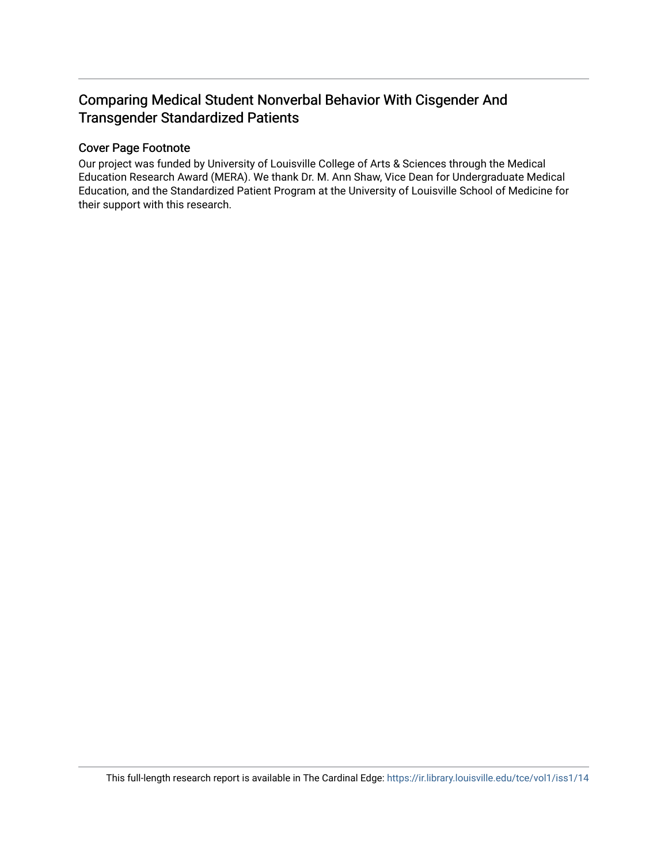### Comparing Medical Student Nonverbal Behavior With Cisgender And Transgender Standardized Patients

#### Cover Page Footnote

Our project was funded by University of Louisville College of Arts & Sciences through the Medical Education Research Award (MERA). We thank Dr. M. Ann Shaw, Vice Dean for Undergraduate Medical Education, and the Standardized Patient Program at the University of Louisville School of Medicine for their support with this research.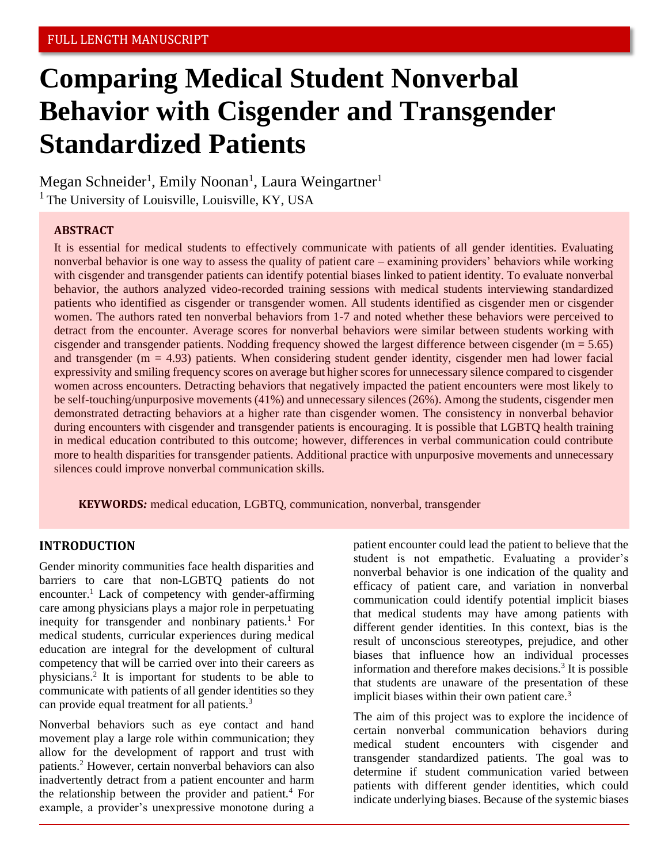# **Comparing Medical Student Nonverbal Behavior with Cisgender and Transgender Standardized Patients**

Megan Schneider<sup>1</sup>, Emily Noonan<sup>1</sup>, Laura Weingartner<sup>1</sup>  $<sup>1</sup>$  The University of Louisville, Louisville, KY, USA</sup>

#### **ABSTRACT**

It is essential for medical students to effectively communicate with patients of all gender identities. Evaluating nonverbal behavior is one way to assess the quality of patient care – examining providers' behaviors while working with cisgender and transgender patients can identify potential biases linked to patient identity. To evaluate nonverbal behavior, the authors analyzed video-recorded training sessions with medical students interviewing standardized patients who identified as cisgender or transgender women. All students identified as cisgender men or cisgender women. The authors rated ten nonverbal behaviors from 1-7 and noted whether these behaviors were perceived to detract from the encounter. Average scores for nonverbal behaviors were similar between students working with cisgender and transgender patients. Nodding frequency showed the largest difference between cisgender ( $m = 5.65$ ) and transgender ( $m = 4.93$ ) patients. When considering student gender identity, cisgender men had lower facial expressivity and smiling frequency scores on average but higher scores for unnecessary silence compared to cisgender women across encounters. Detracting behaviors that negatively impacted the patient encounters were most likely to be self-touching/unpurposive movements (41%) and unnecessary silences (26%). Among the students, cisgender men demonstrated detracting behaviors at a higher rate than cisgender women. The consistency in nonverbal behavior during encounters with cisgender and transgender patients is encouraging. It is possible that LGBTQ health training in medical education contributed to this outcome; however, differences in verbal communication could contribute more to health disparities for transgender patients. Additional practice with unpurposive movements and unnecessary silences could improve nonverbal communication skills.

**KEYWORDS***:* medical education, LGBTQ, communication, nonverbal, transgender

#### **INTRODUCTION**

Gender minority communities face health disparities and barriers to care that non-LGBTQ patients do not encounter.<sup>1</sup> Lack of competency with gender-affirming care among physicians plays a major role in perpetuating inequity for transgender and nonbinary patients.<sup>1</sup> For medical students, curricular experiences during medical education are integral for the development of cultural competency that will be carried over into their careers as physicians.<sup>2</sup> It is important for students to be able to communicate with patients of all gender identities so they can provide equal treatment for all patients.<sup>3</sup>

Nonverbal behaviors such as eye contact and hand movement play a large role within communication; they allow for the development of rapport and trust with patients.<sup>2</sup> However, certain nonverbal behaviors can also inadvertently detract from a patient encounter and harm the relationship between the provider and patient.<sup>4</sup> For example, a provider's unexpressive monotone during a

patient encounter could lead the patient to believe that the student is not empathetic. Evaluating a provider's nonverbal behavior is one indication of the quality and efficacy of patient care, and variation in nonverbal communication could identify potential implicit biases that medical students may have among patients with different gender identities. In this context, bias is the result of unconscious stereotypes, prejudice, and other biases that influence how an individual processes information and therefore makes decisions.<sup>3</sup> It is possible that students are unaware of the presentation of these implicit biases within their own patient care.<sup>3</sup>

The aim of this project was to explore the incidence of certain nonverbal communication behaviors during medical student encounters with cisgender and transgender standardized patients. The goal was to determine if student communication varied between patients with different gender identities, which could indicate underlying biases. Because of the systemic biases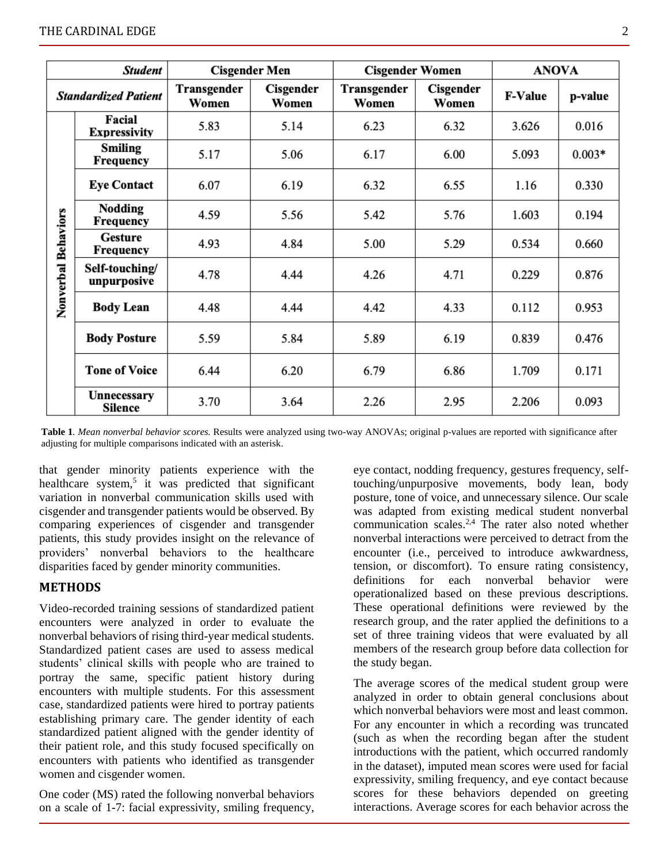| <b>Student</b>              |                               | <b>Cisgender Men</b> |                    | <b>Cisgender Women</b> |                    | <b>ANOVA</b>   |          |
|-----------------------------|-------------------------------|----------------------|--------------------|------------------------|--------------------|----------------|----------|
| <b>Standardized Patient</b> |                               | Transgender<br>Women | Cisgender<br>Women | Transgender<br>Women   | Cisgender<br>Women | <b>F-Value</b> | p-value  |
| Nonverbal Behaviors         | Facial<br><b>Expressivity</b> | 5.83                 | 5.14               | 6.23                   | 6.32               | 3.626          | 0.016    |
|                             | <b>Smiling</b><br>Frequency   | 5.17                 | 5.06               | 6.17                   | 6.00               | 5.093          | $0.003*$ |
|                             | <b>Eye Contact</b>            | 6.07                 | 6.19               | 6.32                   | 6.55               | 1.16           | 0.330    |
|                             | <b>Nodding</b><br>Frequency   | 4.59                 | 5.56               | 5.42                   | 5.76               | 1.603          | 0.194    |
|                             | <b>Gesture</b><br>Frequency   | 4.93                 | 4.84               | 5.00                   | 5.29               | 0.534          | 0.660    |
|                             | Self-touching/<br>unpurposive | 4.78                 | 4.44               | 4.26                   | 4.71               | 0.229          | 0.876    |
|                             | <b>Body Lean</b>              | 4.48                 | 4.44               | 4.42                   | 4.33               | 0.112          | 0.953    |
|                             | <b>Body Posture</b>           | 5.59                 | 5.84               | 5.89                   | 6.19               | 0.839          | 0.476    |
|                             | <b>Tone of Voice</b>          | 6.44                 | 6.20               | 6.79                   | 6.86               | 1.709          | 0.171    |
|                             | Unnecessary<br>Silence        | 3.70                 | 3.64               | 2.26                   | 2.95               | 2.206          | 0.093    |

**Table 1***. Mean nonverbal behavior scores.* Results were analyzed using two-way ANOVAs; original p-values are reported with significance after adjusting for multiple comparisons indicated with an asterisk.

that gender minority patients experience with the healthcare system,<sup>5</sup> it was predicted that significant variation in nonverbal communication skills used with cisgender and transgender patients would be observed. By comparing experiences of cisgender and transgender patients, this study provides insight on the relevance of providers' nonverbal behaviors to the healthcare disparities faced by gender minority communities.

#### **METHODS**

Video-recorded training sessions of standardized patient encounters were analyzed in order to evaluate the nonverbal behaviors of rising third-year medical students. Standardized patient cases are used to assess medical students' clinical skills with people who are trained to portray the same, specific patient history during encounters with multiple students. For this assessment case, standardized patients were hired to portray patients establishing primary care. The gender identity of each standardized patient aligned with the gender identity of their patient role, and this study focused specifically on encounters with patients who identified as transgender women and cisgender women.

One coder (MS) rated the following nonverbal behaviors on a scale of 1-7: facial expressivity, smiling frequency,

eye contact, nodding frequency, gestures frequency, selftouching/unpurposive movements, body lean, body posture, tone of voice, and unnecessary silence. Our scale was adapted from existing medical student nonverbal communication scales.<sup>2,4</sup> The rater also noted whether nonverbal interactions were perceived to detract from the encounter (i.e., perceived to introduce awkwardness, tension, or discomfort). To ensure rating consistency, definitions for each nonverbal behavior were operationalized based on these previous descriptions. These operational definitions were reviewed by the research group, and the rater applied the definitions to a set of three training videos that were evaluated by all members of the research group before data collection for the study began.

The average scores of the medical student group were analyzed in order to obtain general conclusions about which nonverbal behaviors were most and least common. For any encounter in which a recording was truncated (such as when the recording began after the student introductions with the patient, which occurred randomly in the dataset), imputed mean scores were used for facial expressivity, smiling frequency, and eye contact because scores for these behaviors depended on greeting interactions. Average scores for each behavior across the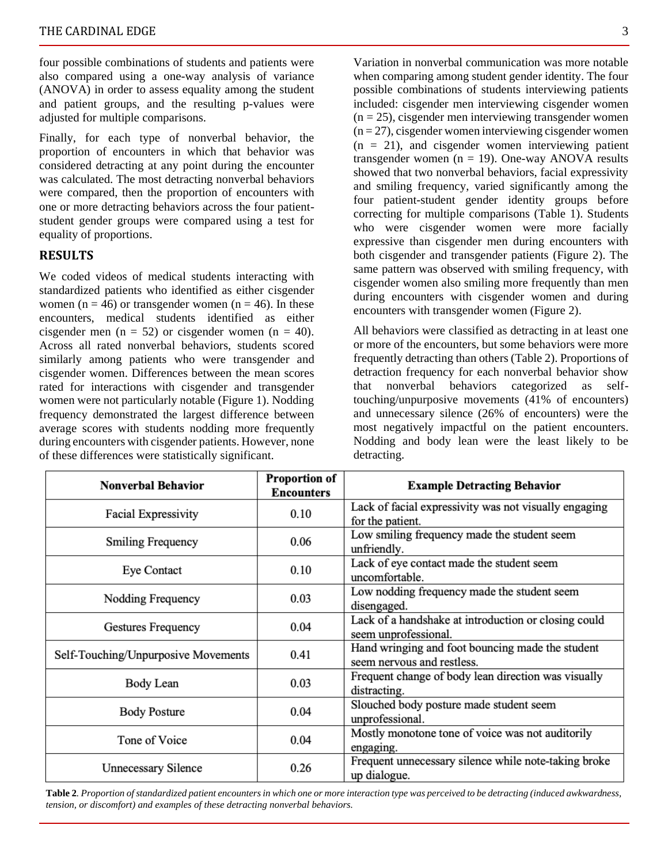four possible combinations of students and patients were also compared using a one-way analysis of variance (ANOVA) in order to assess equality among the student and patient groups, and the resulting p-values were adjusted for multiple comparisons.

Finally, for each type of nonverbal behavior, the proportion of encounters in which that behavior was considered detracting at any point during the encounter was calculated. The most detracting nonverbal behaviors were compared, then the proportion of encounters with one or more detracting behaviors across the four patientstudent gender groups were compared using a test for equality of proportions.

#### **RESULTS**

We coded videos of medical students interacting with standardized patients who identified as either cisgender women (n = 46) or transgender women (n = 46). In these encounters, medical students identified as either cisgender men ( $n = 52$ ) or cisgender women ( $n = 40$ ). Across all rated nonverbal behaviors, students scored similarly among patients who were transgender and cisgender women. Differences between the mean scores rated for interactions with cisgender and transgender women were not particularly notable (Figure 1). Nodding frequency demonstrated the largest difference between average scores with students nodding more frequently during encounters with cisgender patients. However, none of these differences were statistically significant.

Variation in nonverbal communication was more notable when comparing among student gender identity. The four possible combinations of students interviewing patients included: cisgender men interviewing cisgender women  $(n = 25)$ , cisgender men interviewing transgender women  $(n = 27)$ , cisgender women interviewing cisgender women  $(n = 21)$ , and cisgender women interviewing patient transgender women  $(n = 19)$ . One-way ANOVA results showed that two nonverbal behaviors, facial expressivity and smiling frequency, varied significantly among the four patient-student gender identity groups before correcting for multiple comparisons (Table 1). Students who were cisgender women were more facially expressive than cisgender men during encounters with both cisgender and transgender patients (Figure 2). The same pattern was observed with smiling frequency, with cisgender women also smiling more frequently than men during encounters with cisgender women and during encounters with transgender women (Figure 2).

All behaviors were classified as detracting in at least one or more of the encounters, but some behaviors were more frequently detracting than others (Table 2). Proportions of detraction frequency for each nonverbal behavior show that nonverbal behaviors categorized as selftouching/unpurposive movements (41% of encounters) and unnecessary silence (26% of encounters) were the most negatively impactful on the patient encounters. Nodding and body lean were the least likely to be detracting.

| <b>Nonverbal Behavior</b>           | Proportion of<br><b>Encounters</b> | <b>Example Detracting Behavior</b>                                             |  |
|-------------------------------------|------------------------------------|--------------------------------------------------------------------------------|--|
| Facial Expressivity                 | 0.10                               | Lack of facial expressivity was not visually engaging<br>for the patient.      |  |
| <b>Smiling Frequency</b>            | 0.06                               | Low smiling frequency made the student seem<br>unfriendly.                     |  |
| Eye Contact                         | 0.10                               | Lack of eye contact made the student seem<br>uncomfortable.                    |  |
| Nodding Frequency                   | 0.03                               | Low nodding frequency made the student seem<br>disengaged.                     |  |
| Gestures Frequency                  | 0.04                               | Lack of a handshake at introduction or closing could<br>seem unprofessional.   |  |
| Self-Touching/Unpurposive Movements | 0.41                               | Hand wringing and foot bouncing made the student<br>seem nervous and restless. |  |
| Body Lean                           | 0.03                               | Frequent change of body lean direction was visually<br>distracting.            |  |
| <b>Body Posture</b>                 | 0.04                               | Slouched body posture made student seem<br>unprofessional.                     |  |
| Tone of Voice                       | 0.04                               | Mostly monotone tone of voice was not auditorily<br>engaging.                  |  |
| Unnecessary Silence                 | 0.26                               | Frequent unnecessary silence while note-taking broke<br>up dialogue.           |  |

**Table 2***. Proportion of standardized patient encounters in which one or more interaction type was perceived to be detracting (induced awkwardness, tension, or discomfort) and examples of these detracting nonverbal behaviors.*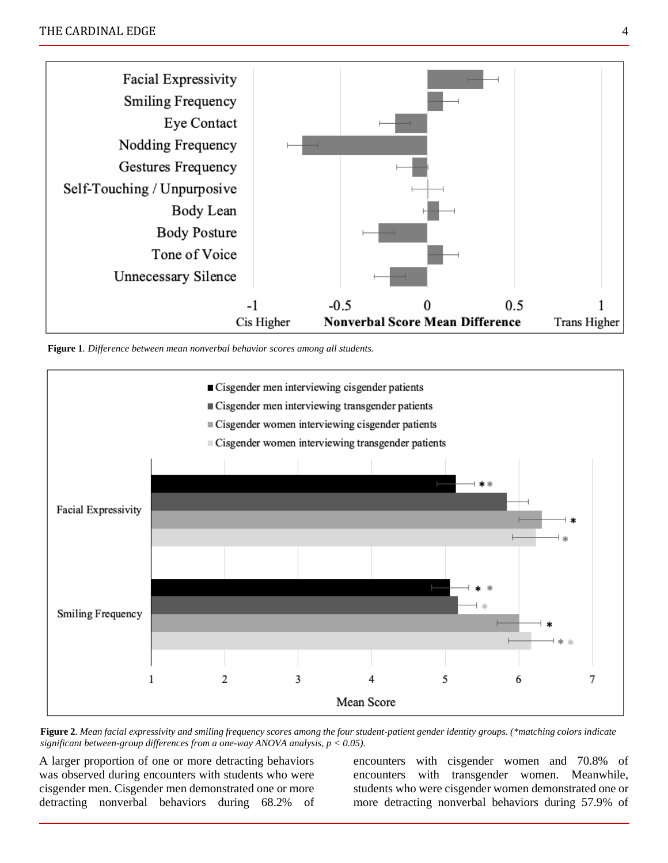

**Figure 1***. Difference between mean nonverbal behavior scores among all students.*



**Figure 2***. Mean facial expressivity and smiling frequency scores among the four student-patient gender identity groups. (\*matching colors indicate significant between-group differences from a one-way ANOVA analysis, p < 0.05).*

A larger proportion of one or more detracting behaviors was observed during encounters with students who were cisgender men. Cisgender men demonstrated one or more detracting nonverbal behaviors during 68.2% of encounters with cisgender women and 70.8% of encounters with transgender women. Meanwhile, students who were cisgender women demonstrated one or more detracting nonverbal behaviors during 57.9% of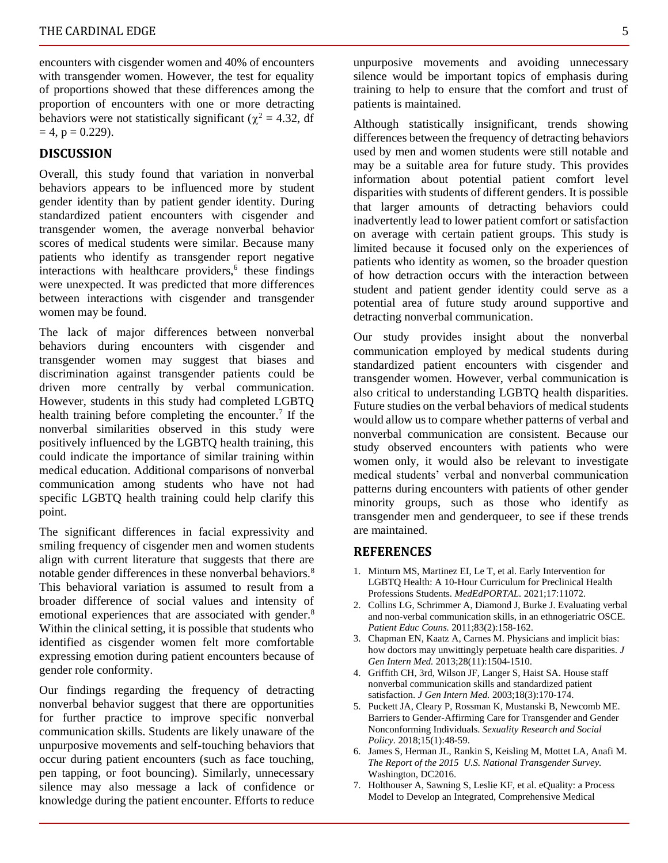encounters with cisgender women and 40% of encounters with transgender women. However, the test for equality of proportions showed that these differences among the proportion of encounters with one or more detracting behaviors were not statistically significant ( $\chi^2 = 4.32$ , df  $= 4$ ,  $p = 0.229$ ).

#### **DISCUSSION**

Overall, this study found that variation in nonverbal behaviors appears to be influenced more by student gender identity than by patient gender identity. During standardized patient encounters with cisgender and transgender women, the average nonverbal behavior scores of medical students were similar. Because many patients who identify as transgender report negative interactions with healthcare providers,<sup>6</sup> these findings were unexpected. It was predicted that more differences between interactions with cisgender and transgender women may be found.

The lack of major differences between nonverbal behaviors during encounters with cisgender and transgender women may suggest that biases and discrimination against transgender patients could be driven more centrally by verbal communication. However, students in this study had completed LGBTQ health training before completing the encounter.<sup>7</sup> If the nonverbal similarities observed in this study were positively influenced by the LGBTQ health training, this could indicate the importance of similar training within medical education. Additional comparisons of nonverbal communication among students who have not had specific LGBTQ health training could help clarify this point.

The significant differences in facial expressivity and smiling frequency of cisgender men and women students align with current literature that suggests that there are notable gender differences in these nonverbal behaviors.<sup>8</sup> This behavioral variation is assumed to result from a broader difference of social values and intensity of emotional experiences that are associated with gender.<sup>8</sup> Within the clinical setting, it is possible that students who identified as cisgender women felt more comfortable expressing emotion during patient encounters because of gender role conformity.

Our findings regarding the frequency of detracting nonverbal behavior suggest that there are opportunities for further practice to improve specific nonverbal communication skills. Students are likely unaware of the unpurposive movements and self-touching behaviors that occur during patient encounters (such as face touching, pen tapping, or foot bouncing). Similarly, unnecessary silence may also message a lack of confidence or knowledge during the patient encounter. Efforts to reduce

unpurposive movements and avoiding unnecessary silence would be important topics of emphasis during training to help to ensure that the comfort and trust of patients is maintained.

Although statistically insignificant, trends showing differences between the frequency of detracting behaviors used by men and women students were still notable and may be a suitable area for future study. This provides information about potential patient comfort level disparities with students of different genders. It is possible that larger amounts of detracting behaviors could inadvertently lead to lower patient comfort or satisfaction on average with certain patient groups. This study is limited because it focused only on the experiences of patients who identity as women, so the broader question of how detraction occurs with the interaction between student and patient gender identity could serve as a potential area of future study around supportive and detracting nonverbal communication.

Our study provides insight about the nonverbal communication employed by medical students during standardized patient encounters with cisgender and transgender women. However, verbal communication is also critical to understanding LGBTQ health disparities. Future studies on the verbal behaviors of medical students would allow us to compare whether patterns of verbal and nonverbal communication are consistent. Because our study observed encounters with patients who were women only, it would also be relevant to investigate medical students' verbal and nonverbal communication patterns during encounters with patients of other gender minority groups, such as those who identify as transgender men and genderqueer, to see if these trends are maintained.

#### **REFERENCES**

- 1. Minturn MS, Martinez EI, Le T, et al. Early Intervention for LGBTQ Health: A 10-Hour Curriculum for Preclinical Health Professions Students. *MedEdPORTAL.* 2021;17:11072.
- 2. Collins LG, Schrimmer A, Diamond J, Burke J. Evaluating verbal and non-verbal communication skills, in an ethnogeriatric OSCE. *Patient Educ Couns.* 2011;83(2):158-162.
- 3. Chapman EN, Kaatz A, Carnes M. Physicians and implicit bias: how doctors may unwittingly perpetuate health care disparities. *J Gen Intern Med.* 2013;28(11):1504-1510.
- 4. Griffith CH, 3rd, Wilson JF, Langer S, Haist SA. House staff nonverbal communication skills and standardized patient satisfaction. *J Gen Intern Med.* 2003;18(3):170-174.
- 5. Puckett JA, Cleary P, Rossman K, Mustanski B, Newcomb ME. Barriers to Gender-Affirming Care for Transgender and Gender Nonconforming Individuals. *Sexuality Research and Social Policy.* 2018;15(1):48-59.
- 6. James S, Herman JL, Rankin S, Keisling M, Mottet LA, Anafi M. *The Report of the 2015 U.S. National Transgender Survey.*  Washington, DC2016.
- 7. Holthouser A, Sawning S, Leslie KF, et al. eQuality: a Process Model to Develop an Integrated, Comprehensive Medical